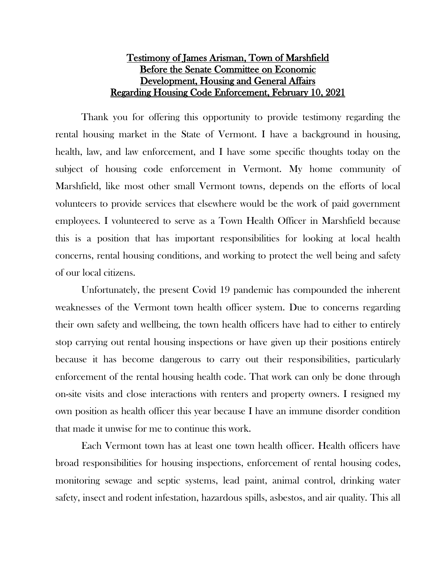## Testimony of James Arisman, Town of Marshfield Before the Senate Committee on Economic Development, Housing and General Affairs Regarding Housing Code Enforcement, February 10, 2021

Thank you for offering this opportunity to provide testimony regarding the rental housing market in the State of Vermont. I have a background in housing, health, law, and law enforcement, and I have some specific thoughts today on the subject of housing code enforcement in Vermont. My home community of Marshfield, like most other small Vermont towns, depends on the efforts of local volunteers to provide services that elsewhere would be the work of paid government employees. I volunteered to serve as a Town Health Officer in Marshfield because this is a position that has important responsibilities for looking at local health concerns, rental housing conditions, and working to protect the well being and safety of our local citizens.

Unfortunately, the present Covid 19 pandemic has compounded the inherent weaknesses of the Vermont town health officer system. Due to concerns regarding their own safety and wellbeing, the town health officers have had to either to entirely stop carrying out rental housing inspections or have given up their positions entirely because it has become dangerous to carry out their responsibilities, particularly enforcement of the rental housing health code. That work can only be done through on-site visits and close interactions with renters and property owners. I resigned my own position as health officer this year because I have an immune disorder condition that made it unwise for me to continue this work.

Each Vermont town has at least one town health officer. Health officers have broad responsibilities for housing inspections, enforcement of rental housing codes, monitoring sewage and septic systems, lead paint, animal control, drinking water safety, insect and rodent infestation, hazardous spills, asbestos, and air quality. This all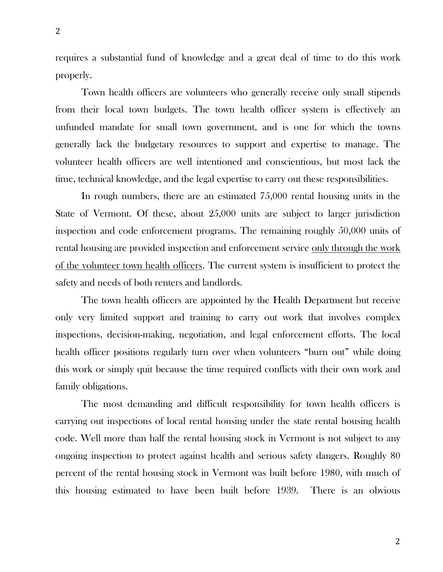requires a substantial fund of knowledge and a great deal of time to do this work properly.

Town health officers are volunteers who generally receive only small stipends from their local town budgets. The town health officer system is effectively an unfunded mandate for small town government, and is one for which the towns generally lack the budgetary resources to support and expertise to manage. The volunteer health officers are well intentioned and conscientious, but most lack the time, technical knowledge, and the legal expertise to carry out these responsibilities.

In rough numbers, there are an estimated 75,000 rental housing units in the State of Vermont. Of these, about 25,000 units are subject to larger jurisdiction inspection and code enforcement programs. The remaining roughly 50,000 units of rental housing are provided inspection and enforcement service only through the work of the volunteer town health officers. The current system is insufficient to protect the safety and needs of both renters and landlords.

The town health officers are appointed by the Health Department but receive only very limited support and training to carry out work that involves complex inspections, decision-making, negotiation, and legal enforcement efforts. The local health officer positions regularly turn over when volunteers "burn out" while doing this work or simply quit because the time required conflicts with their own work and family obligations.

The most demanding and difficult responsibility for town health officers is carrying out inspections of local rental housing under the state rental housing health code. Well more than half the rental housing stock in Vermont is not subject to any ongoing inspection to protect against health and serious safety dangers. Roughly 80 percent of the rental housing stock in Vermont was built before 1980, with much of this housing estimated to have been built before 1939. There is an obvious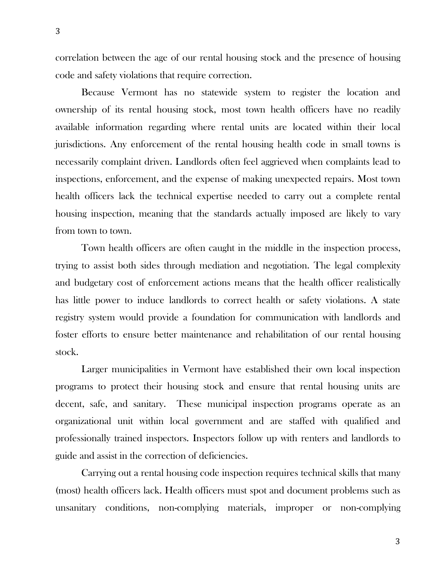correlation between the age of our rental housing stock and the presence of housing code and safety violations that require correction.

Because Vermont has no statewide system to register the location and ownership of its rental housing stock, most town health officers have no readily available information regarding where rental units are located within their local jurisdictions. Any enforcement of the rental housing health code in small towns is necessarily complaint driven. Landlords often feel aggrieved when complaints lead to inspections, enforcement, and the expense of making unexpected repairs. Most town health officers lack the technical expertise needed to carry out a complete rental housing inspection, meaning that the standards actually imposed are likely to vary from town to town.

Town health officers are often caught in the middle in the inspection process, trying to assist both sides through mediation and negotiation. The legal complexity and budgetary cost of enforcement actions means that the health officer realistically has little power to induce landlords to correct health or safety violations. A state registry system would provide a foundation for communication with landlords and foster efforts to ensure better maintenance and rehabilitation of our rental housing stock.

Larger municipalities in Vermont have established their own local inspection programs to protect their housing stock and ensure that rental housing units are decent, safe, and sanitary. These municipal inspection programs operate as an organizational unit within local government and are staffed with qualified and professionally trained inspectors. Inspectors follow up with renters and landlords to guide and assist in the correction of deficiencies.

Carrying out a rental housing code inspection requires technical skills that many (most) health officers lack. Health officers must spot and document problems such as unsanitary conditions, non-complying materials, improper or non-complying